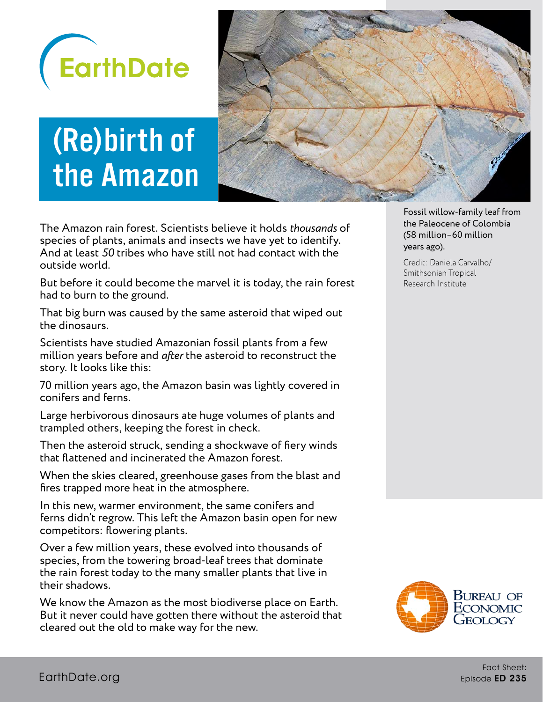

# (Re)birth of the Amazon



The Amazon rain forest. Scientists believe it holds *thousands* of species of plants, animals and insects we have yet to identify. And at least *50* tribes who have still not had contact with the outside world.

But before it could become the marvel it is today, the rain forest had to burn to the ground.

That big burn was caused by the same asteroid that wiped out the dinosaurs.

Scientists have studied Amazonian fossil plants from a few million years before and *after* the asteroid to reconstruct the story. It looks like this:

70 million years ago, the Amazon basin was lightly covered in conifers and ferns.

Large herbivorous dinosaurs ate huge volumes of plants and trampled others, keeping the forest in check.

Then the asteroid struck, sending a shockwave of fiery winds that flattened and incinerated the Amazon forest.

When the skies cleared, greenhouse gases from the blast and fires trapped more heat in the atmosphere.

In this new, warmer environment, the same conifers and ferns didn't regrow. This left the Amazon basin open for new competitors: flowering plants.

Over a few million years, these evolved into thousands of species, from the towering broad-leaf trees that dominate the rain forest today to the many smaller plants that live in their shadows.

We know the Amazon as the most biodiverse place on Earth. But it never could have gotten there without the asteroid that cleared out the old to make way for the new.

Fossil willow-family leaf from the Paleocene of Colombia (58 million–60 million years ago).

Credit: Daniela Carvalho/ Smithsonian Tropical Research Institute

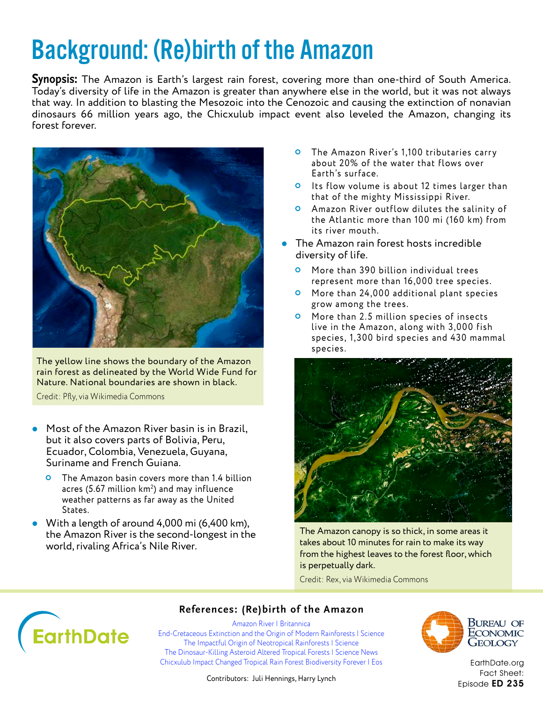## Background: (Re)birth of the Amazon

**Synopsis:** The Amazon is Earth's largest rain forest, covering more than one-third of South America. Today's diversity of life in the Amazon is greater than anywhere else in the world, but it was not always that way. In addition to blasting the Mesozoic into the Cenozoic and causing the extinction of nonavian dinosaurs 66 million years ago, the Chicxulub impact event also leveled the Amazon, changing its forest forever.



The yellow line shows the boundary of the Amazon rain forest as delineated by the World Wide Fund for Nature. National boundaries are shown in black.

Credit: Pfly, via Wikimedia Commons

- Most of the Amazon River basin is in Brazil, but it also covers parts of Bolivia, Peru, Ecuador, Colombia, Venezuela, Guyana, Suriname and French Guiana.
	- The Amazon basin covers more than 1.4 billion acres (5.67 million  $km^2$ ) and may influence weather patterns as far away as the United States.
- With a length of around 4,000 mi (6,400 km), the Amazon River is the second-longest in the world, rivaling Africa's Nile River.
- **O** The Amazon River's 1,100 tributaries carry about 20% of the water that flows over Earth's surface.
- **O** Its flow volume is about 12 times larger than that of the mighty Mississippi River.
- Amazon River outflow dilutes the salinity of the Atlantic more than 100 mi (160 km) from its river mouth.
- The Amazon rain forest hosts incredible diversity of life.
	- **O** More than 390 billion individual trees represent more than 16,000 tree species.
	- **O** More than 24,000 additional plant species grow among the trees.
	- **O** More than 2.5 million species of insects live in the Amazon, along with 3,000 fish species, 1,300 bird species and 430 mammal species.



The Amazon canopy is so thick, in some areas it takes about 10 minutes for rain to make its way from the highest leaves to the forest floor, which is perpetually dark.

Credit: Rex, via Wikimedia Commons



#### **References: (Re)birth of the Amazon**

[Amazon River | Britannica](https://www.britannica.com/place/Amazon-River) [End-Cretaceous Extinction and the Origin of Modern Rainforests | Science](https://science.sciencemag.org/content/372/6537/63) [The Impactful Origin of Neotropical Rainforests | Science](https://science.sciencemag.org/content/372/6537/28) [The Dinosaur-Killing Asteroid Altered Tropical Forests | Science News](https://www.sciencenews.org/article/dinosaur-killing-asteroid-tropical-forest-fossil) [Chicxulub Impact Changed Tropical Rain Forest Biodiversity Forever | Eos](https://eos.org/articles/chicxulub-impact-changed-tropical-rain-forest-biodiversity-forever)



Bureau of ECONOMIC GEOLOGY

[EarthDate.org](http://www.earthdate.org) Fact Sheet: Episode ED 235

Contributors: Juli Hennings, Harry Lynch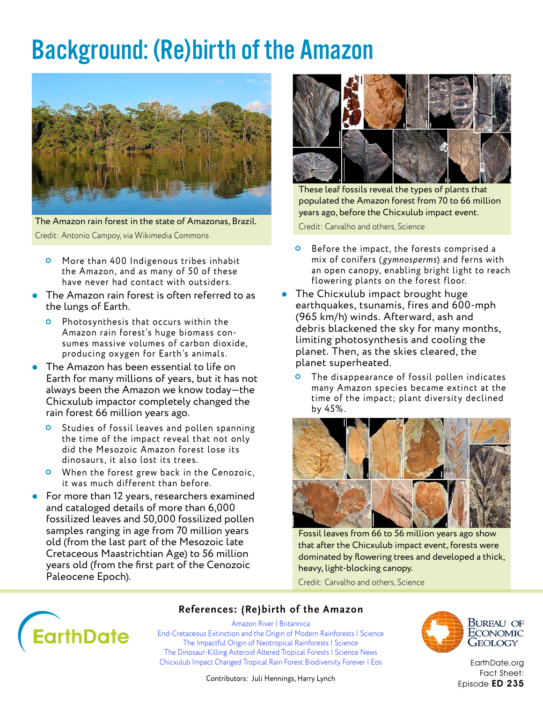### Background: (Re)birth of the Amazon



The Amazon rain forest in the state of Amazonas, Brazil. Credit: Antonio Campoy, via Wikimedia Commons

- **O** More than 400 Indigenous tribes inhabit the Amazon, and as many of 50 of these have never had contact with outsiders.
- **•** The Amazon rain forest is often referred to as the lungs of Earth.
	- Photosynthesis that occurs within the Amazon rain forest's huge biomass consumes massive volumes of carbon dioxide, producing oxygen for Earth's animals.
- The Amazon has been essential to life on Earth for many millions of years, but it has not always been the Amazon we know today—the Chicxulub impactor completely changed the rain forest 66 million years ago.
	- Studies of fossil leaves and pollen spanning the time of the impact reveal that not only did the Mesozoic Amazon forest lose its dinosaurs, it also lost its trees.
	- **O** When the forest grew back in the Cenozoic, it was much different than before.
- For more than 12 years, researchers examined and cataloged details of more than 6,000 fossilized leaves and 50,000 fossilized pollen samples ranging in age from 70 million years old (from the last part of the Mesozoic late Cretaceous Maastrichtian Age) to 56 million years old (from the first part of the Cenozoic Paleocene Epoch).



These leaf fossils reveal the types of plants that populated the Amazon forest from 70 to 66 million years ago, before the Chicxulub impact event.

Credit: Carvalho and others, Science

- **O** Before the impact, the forests comprised a mix of conifers (*gymnosperms*) and ferns with an open canopy, enabling bright light to reach flowering plants on the forest floor.
- **The Chicxulub impact brought huge** earthquakes, tsunamis, fires and 600-mph (965 km/h) winds. Afterward, ash and debris blackened the sky for many months, limiting photosynthesis and cooling the planet. Then, as the skies cleared, the planet superheated.
	- The disappearance of fossil pollen indicates many Amazon species became extinct at the time of the impact; plant diversity declined by 45%.



Fossil leaves from 66 to 56 million years ago show that after the Chicxulub impact event, forests were dominated by flowering trees and developed a thick, heavy, light-blocking canopy.

Credit: Carvalho and others, Science



#### **References: (Re)birth of the Amazon**

[Amazon River | Britannica](https://www.britannica.com/place/Amazon-River) [End-Cretaceous Extinction and the Origin of Modern Rainforests | Science](https://science.sciencemag.org/content/372/6537/63) [The Impactful Origin of Neotropical Rainforests | Science](https://science.sciencemag.org/content/372/6537/28) [The Dinosaur-Killing Asteroid Altered Tropical Forests | Science News](https://www.sciencenews.org/article/dinosaur-killing-asteroid-tropical-forest-fossil) [Chicxulub Impact Changed Tropical Rain Forest Biodiversity Forever | Eos](https://eos.org/articles/chicxulub-impact-changed-tropical-rain-forest-biodiversity-forever)



Bureau of ECONOMIC GEOLOGY

[EarthDate.org](http://www.earthdate.org) Fact Sheet: Episode ED 235

Contributors: Juli Hennings, Harry Lynch